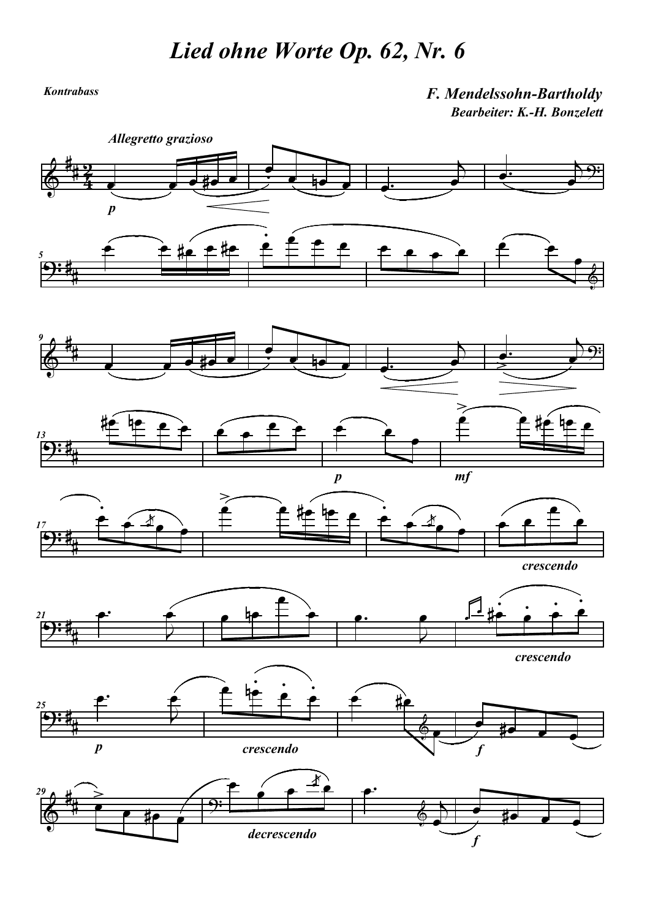Kontrabass

F. Mendelssohn-Bartholdy Bearbeiter: K.-H. Bonzelett

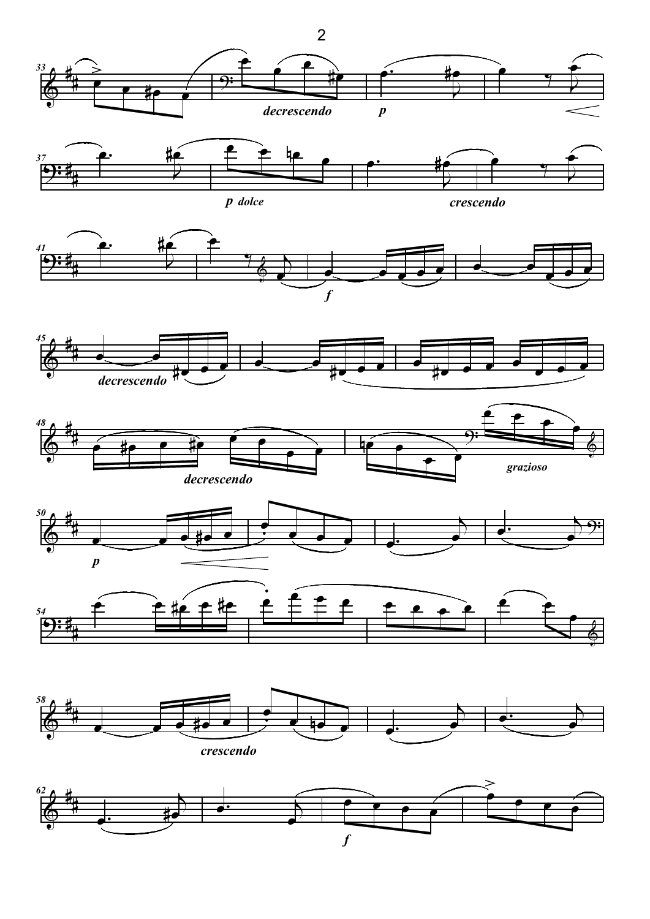





crescendo















2